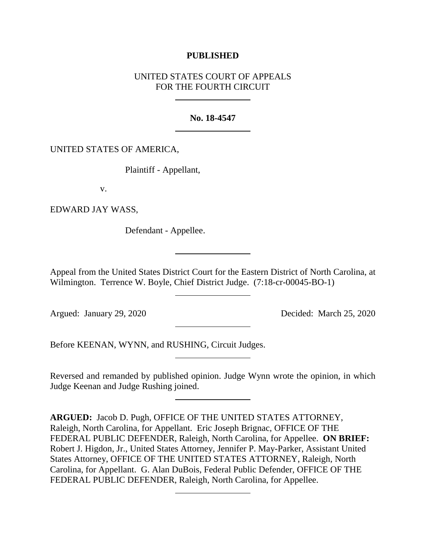# **PUBLISHED**

# UNITED STATES COURT OF APPEALS FOR THE FOURTH CIRCUIT

## **No. 18-4547**

## UNITED STATES OF AMERICA,

Plaintiff - Appellant,

v.

EDWARD JAY WASS,

Defendant - Appellee.

Appeal from the United States District Court for the Eastern District of North Carolina, at Wilmington. Terrence W. Boyle, Chief District Judge. (7:18-cr-00045-BO-1)

Argued: January 29, 2020 Decided: March 25, 2020

Before KEENAN, WYNN, and RUSHING, Circuit Judges.

Reversed and remanded by published opinion. Judge Wynn wrote the opinion, in which Judge Keenan and Judge Rushing joined.

**ARGUED:** Jacob D. Pugh, OFFICE OF THE UNITED STATES ATTORNEY, Raleigh, North Carolina, for Appellant.Eric Joseph Brignac, OFFICE OF THE FEDERAL PUBLIC DEFENDER, Raleigh, North Carolina, for Appellee. **ON BRIEF:**  Robert J. Higdon, Jr., United States Attorney, Jennifer P. May-Parker, Assistant United States Attorney, OFFICE OF THE UNITED STATES ATTORNEY, Raleigh, North Carolina, for Appellant. G. Alan DuBois, Federal Public Defender, OFFICE OF THE FEDERAL PUBLIC DEFENDER, Raleigh, North Carolina, for Appellee.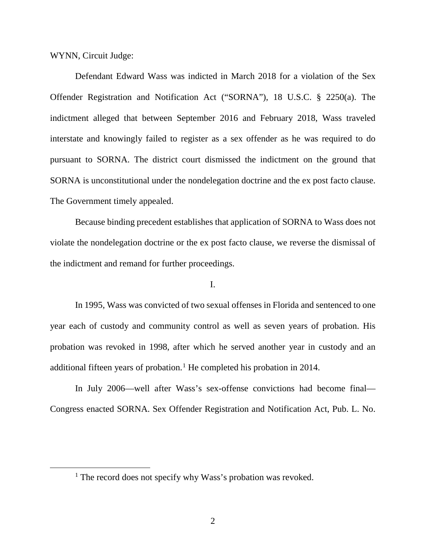WYNN, Circuit Judge:

Defendant Edward Wass was indicted in March 2018 for a violation of the Sex Offender Registration and Notification Act ("SORNA"), 18 U.S.C. § 2250(a). The indictment alleged that between September 2016 and February 2018, Wass traveled interstate and knowingly failed to register as a sex offender as he was required to do pursuant to SORNA. The district court dismissed the indictment on the ground that SORNA is unconstitutional under the nondelegation doctrine and the ex post facto clause. The Government timely appealed.

Because binding precedent establishes that application of SORNA to Wass does not violate the nondelegation doctrine or the ex post facto clause, we reverse the dismissal of the indictment and remand for further proceedings.

# I.

In 1995, Wass was convicted of two sexual offenses in Florida and sentenced to one year each of custody and community control as well as seven years of probation. His probation was revoked in 1998, after which he served another year in custody and an additional fifteen years of probation.<sup>[1](#page-1-0)</sup> He completed his probation in 2014.

In July 2006—well after Wass's sex-offense convictions had become final— Congress enacted SORNA. Sex Offender Registration and Notification Act, Pub. L. No.

<span id="page-1-0"></span><sup>&</sup>lt;sup>1</sup> The record does not specify why Wass's probation was revoked.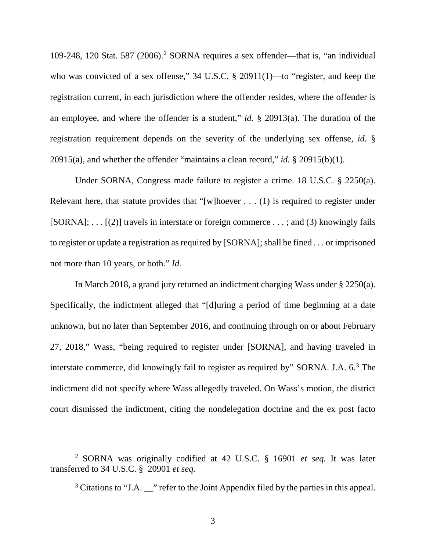109-[2](#page-2-0)48, 120 Stat. 587 (2006).<sup>2</sup> SORNA requires a sex offender—that is, "an individual who was convicted of a sex offense," 34 U.S.C. § 20911(1)—to "register, and keep the registration current, in each jurisdiction where the offender resides, where the offender is an employee, and where the offender is a student," *id.* § 20913(a). The duration of the registration requirement depends on the severity of the underlying sex offense, *id.* § 20915(a), and whether the offender "maintains a clean record," *id.* § 20915(b)(1).

Under SORNA, Congress made failure to register a crime. 18 U.S.C. § 2250(a). Relevant here, that statute provides that "[w]hoever  $\dots$  (1) is required to register under  $[SORNA]$ ; ...  $[(2)]$  travels in interstate or foreign commerce ...; and (3) knowingly fails to register or update a registration as required by [SORNA]; shall be fined . . . or imprisoned not more than 10 years, or both." *Id.*

In March 2018, a grand jury returned an indictment charging Wass under § 2250(a). Specifically, the indictment alleged that "[d]uring a period of time beginning at a date unknown, but no later than September 2016, and continuing through on or about February 27, 2018," Wass, "being required to register under [SORNA], and having traveled in interstate commerce, did knowingly fail to register as required by" SORNA. J.A. 6.<sup>[3](#page-2-1)</sup> The indictment did not specify where Wass allegedly traveled. On Wass's motion, the district court dismissed the indictment, citing the nondelegation doctrine and the ex post facto

<span id="page-2-1"></span><span id="page-2-0"></span> <sup>2</sup> SORNA was originally codified at 42 U.S.C. § <sup>16901</sup> *et seq.* It was later transferred to 34 U.S.C. § 20901 *et seq.*

 $3$  Citations to "J.A.  $\cdots$  refer to the Joint Appendix filed by the parties in this appeal.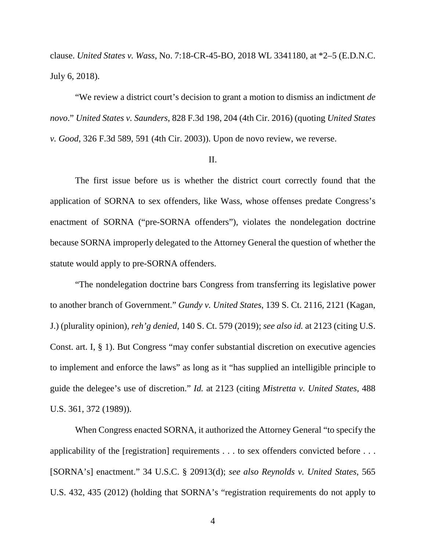clause. *United States v. Wass*, No. 7:18-CR-45-BO, 2018 WL 3341180, at \*2–5 (E.D.N.C. July 6, 2018).

"We review a district court's decision to grant a motion to dismiss an indictment *de novo*." *United States v. Saunders*, 828 F.3d 198, 204 (4th Cir. 2016) (quoting *United States v. Good*, 326 F.3d 589, 591 (4th Cir. 2003)). Upon de novo review, we reverse.

### II.

The first issue before us is whether the district court correctly found that the application of SORNA to sex offenders, like Wass, whose offenses predate Congress's enactment of SORNA ("pre-SORNA offenders"), violates the nondelegation doctrine because SORNA improperly delegated to the Attorney General the question of whether the statute would apply to pre-SORNA offenders.

"The nondelegation doctrine bars Congress from transferring its legislative power to another branch of Government." *Gundy v. United States*, 139 S. Ct. 2116, 2121 (Kagan, J.) (plurality opinion), *reh'g denied*, 140 S. Ct. 579 (2019); *see also id.* at 2123 (citing U.S. Const. art. I, § 1). But Congress "may confer substantial discretion on executive agencies to implement and enforce the laws" as long as it "has supplied an intelligible principle to guide the delegee's use of discretion." *Id.* at 2123 (citing *Mistretta v. United States*, 488 U.S. 361, 372 (1989)).

When Congress enacted SORNA, it authorized the Attorney General "to specify the applicability of the [registration] requirements . . . to sex offenders convicted before . . . [SORNA's] enactment." 34 U.S.C. § 20913(d); *see also Reynolds v. United States*, 565 U.S. 432, 435 (2012) (holding that SORNA's "registration requirements do not apply to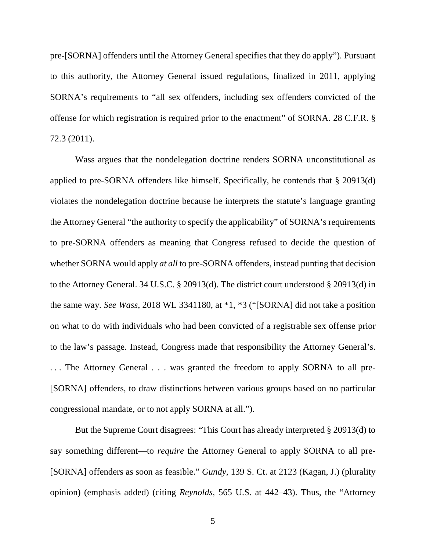pre-[SORNA] offenders until the Attorney General specifies that they do apply"). Pursuant to this authority, the Attorney General issued regulations, finalized in 2011, applying SORNA's requirements to "all sex offenders, including sex offenders convicted of the offense for which registration is required prior to the enactment" of SORNA. 28 C.F.R. § 72.3 (2011).

Wass argues that the nondelegation doctrine renders SORNA unconstitutional as applied to pre-SORNA offenders like himself. Specifically, he contends that § 20913(d) violates the nondelegation doctrine because he interprets the statute's language granting the Attorney General "the authority to specify the applicability" of SORNA's requirements to pre-SORNA offenders as meaning that Congress refused to decide the question of whether SORNA would apply *at all* to pre-SORNA offenders, instead punting that decision to the Attorney General. 34 U.S.C. § 20913(d). The district court understood § 20913(d) in the same way. *See Wass*, 2018 WL 3341180, at \*1, \*3 ("[SORNA] did not take a position on what to do with individuals who had been convicted of a registrable sex offense prior to the law's passage. Instead, Congress made that responsibility the Attorney General's. ... The Attorney General . . . was granted the freedom to apply SORNA to all pre-[SORNA] offenders, to draw distinctions between various groups based on no particular congressional mandate, or to not apply SORNA at all.").

But the Supreme Court disagrees: "This Court has already interpreted § 20913(d) to say something different—to *require* the Attorney General to apply SORNA to all pre- [SORNA] offenders as soon as feasible." *Gundy*, 139 S. Ct. at 2123 (Kagan, J.) (plurality opinion) (emphasis added) (citing *Reynolds*, 565 U.S. at 442–43). Thus, the "Attorney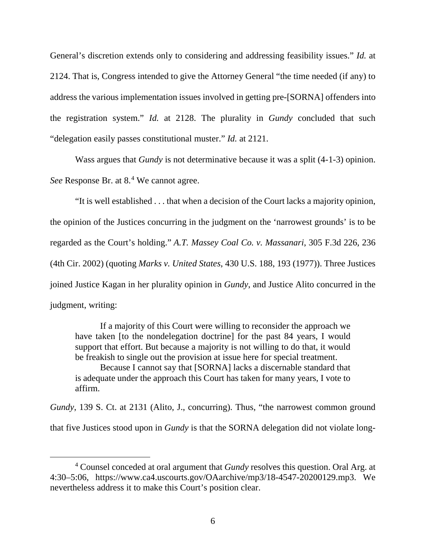General's discretion extends only to considering and addressing feasibility issues." *Id.* at 2124. That is, Congress intended to give the Attorney General "the time needed (if any) to address the various implementation issues involved in getting pre-[SORNA] offenders into the registration system." *Id.* at 2128. The plurality in *Gundy* concluded that such "delegation easily passes constitutional muster." *Id.* at 2121.

Wass argues that *Gundy* is not determinative because it was a split (4-1-3) opinion. *See* Response Br. at 8.[4](#page-5-0) We cannot agree.

"It is well established . . . that when a decision of the Court lacks a majority opinion, the opinion of the Justices concurring in the judgment on the 'narrowest grounds' is to be regarded as the Court's holding." *A.T. Massey Coal Co. v. Massanari*, 305 F.3d 226, 236 (4th Cir. 2002) (quoting *Marks v. United States*, 430 U.S. 188, 193 (1977)). Three Justices joined Justice Kagan in her plurality opinion in *Gundy*, and Justice Alito concurred in the judgment, writing:

If a majority of this Court were willing to reconsider the approach we have taken [to the nondelegation doctrine] for the past 84 years, I would support that effort. But because a majority is not willing to do that, it would be freakish to single out the provision at issue here for special treatment. Because I cannot say that [SORNA] lacks a discernable standard that

is adequate under the approach this Court has taken for many years, I vote to affirm.

*Gundy*, 139 S. Ct. at 2131 (Alito, J., concurring). Thus, "the narrowest common ground that five Justices stood upon in *Gundy* is that the SORNA delegation did not violate long-

<span id="page-5-0"></span> <sup>4</sup> Counsel conceded at oral argument that *Gundy* resolves this question. Oral Arg. at 4:30–5:06, https://www.ca4.uscourts.gov/OAarchive/mp3/18-4547-20200129.mp3. We nevertheless address it to make this Court's position clear.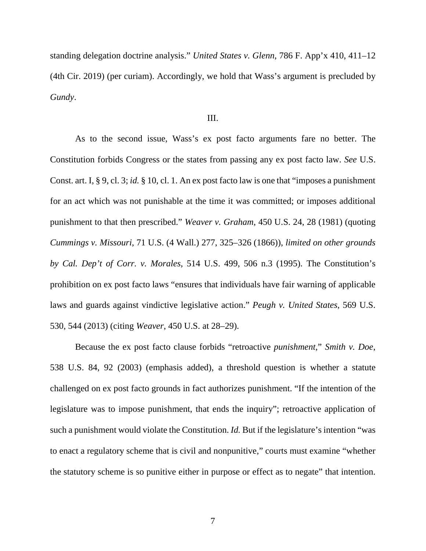standing delegation doctrine analysis." *United States v. Glenn*, 786 F. App'x 410, 411–12 (4th Cir. 2019) (per curiam). Accordingly, we hold that Wass's argument is precluded by *Gundy*.

#### III.

As to the second issue, Wass's ex post facto arguments fare no better. The Constitution forbids Congress or the states from passing any ex post facto law. *See* U.S. Const. art. I, § 9, cl. 3; *id.* § 10, cl. 1. An ex post facto law is one that "imposes a punishment for an act which was not punishable at the time it was committed; or imposes additional punishment to that then prescribed." *Weaver v. Graham*, 450 U.S. 24, 28 (1981) (quoting *Cummings v. Missouri*, 71 U.S. (4 Wall.) 277, 325–326 (1866)), *limited on other grounds by Cal. Dep't of Corr. v. Morales*, 514 U.S. 499, 506 n.3 (1995). The Constitution's prohibition on ex post facto laws "ensures that individuals have fair warning of applicable laws and guards against vindictive legislative action." *Peugh v. United States*, 569 U.S. 530, 544 (2013) (citing *Weaver*, 450 U.S. at 28–29).

Because the ex post facto clause forbids "retroactive *punishment*," *Smith v. Doe*, 538 U.S. 84, 92 (2003) (emphasis added), a threshold question is whether a statute challenged on ex post facto grounds in fact authorizes punishment. "If the intention of the legislature was to impose punishment, that ends the inquiry"; retroactive application of such a punishment would violate the Constitution. *Id.* But if the legislature's intention "was to enact a regulatory scheme that is civil and nonpunitive," courts must examine "whether the statutory scheme is so punitive either in purpose or effect as to negate" that intention.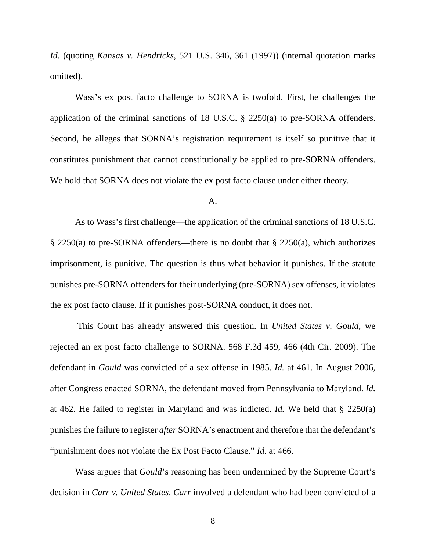*Id.* (quoting *Kansas v. Hendricks*, 521 U.S. 346, 361 (1997)) (internal quotation marks omitted).

Wass's ex post facto challenge to SORNA is twofold. First, he challenges the application of the criminal sanctions of 18 U.S.C. § 2250(a) to pre-SORNA offenders. Second, he alleges that SORNA's registration requirement is itself so punitive that it constitutes punishment that cannot constitutionally be applied to pre-SORNA offenders. We hold that SORNA does not violate the ex post facto clause under either theory.

#### A.

As to Wass's first challenge—the application of the criminal sanctions of 18 U.S.C. § 2250(a) to pre-SORNA offenders—there is no doubt that § 2250(a), which authorizes imprisonment, is punitive. The question is thus what behavior it punishes. If the statute punishes pre-SORNA offenders for their underlying (pre-SORNA) sex offenses, it violates the ex post facto clause. If it punishes post-SORNA conduct, it does not.

This Court has already answered this question. In *United States v. Gould*, we rejected an ex post facto challenge to SORNA. 568 F.3d 459, 466 (4th Cir. 2009). The defendant in *Gould* was convicted of a sex offense in 1985. *Id.* at 461. In August 2006, after Congress enacted SORNA, the defendant moved from Pennsylvania to Maryland. *Id.* at 462. He failed to register in Maryland and was indicted. *Id.* We held that § 2250(a) punishes the failure to register *after* SORNA's enactment and therefore that the defendant's "punishment does not violate the Ex Post Facto Clause." *Id.* at 466.

Wass argues that *Gould*'s reasoning has been undermined by the Supreme Court's decision in *Carr v. United States*. *Carr* involved a defendant who had been convicted of a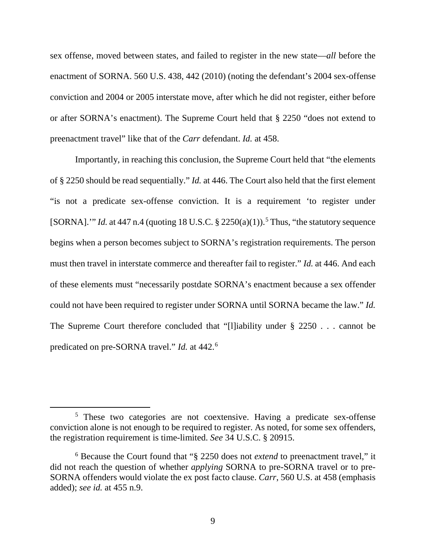sex offense, moved between states, and failed to register in the new state—*all* before the enactment of SORNA. 560 U.S. 438, 442 (2010) (noting the defendant's 2004 sex-offense conviction and 2004 or 2005 interstate move, after which he did not register, either before or after SORNA's enactment). The Supreme Court held that § 2250 "does not extend to preenactment travel" like that of the *Carr* defendant. *Id.* at 458.

Importantly, in reaching this conclusion, the Supreme Court held that "the elements of § 2250 should be read sequentially." *Id.* at 446. The Court also held that the first element "is not a predicate sex-offense conviction. It is a requirement 'to register under [SORNA].'" *Id.* at 447 n.4 (quoting 18 U.S.C.  $\S$  22[5](#page-8-0)0(a)(1)).<sup>5</sup> Thus, "the statutory sequence begins when a person becomes subject to SORNA's registration requirements. The person must then travel in interstate commerce and thereafter fail to register." *Id.* at 446. And each of these elements must "necessarily postdate SORNA's enactment because a sex offender could not have been required to register under SORNA until SORNA became the law." *Id.* The Supreme Court therefore concluded that "[l]iability under § 2250 . . . cannot be predicated on pre-SORNA travel." *Id.* at 442.[6](#page-8-1)

<span id="page-8-0"></span><sup>&</sup>lt;sup>5</sup> These two categories are not coextensive. Having a predicate sex-offense conviction alone is not enough to be required to register. As noted, for some sex offenders, the registration requirement is time-limited. *See* 34 U.S.C. § 20915.

<span id="page-8-1"></span><sup>6</sup> Because the Court found that "§ 2250 does not *extend* to preenactment travel," it did not reach the question of whether *applying* SORNA to pre-SORNA travel or to pre-SORNA offenders would violate the ex post facto clause. *Carr*, 560 U.S. at 458 (emphasis added); *see id.* at 455 n.9.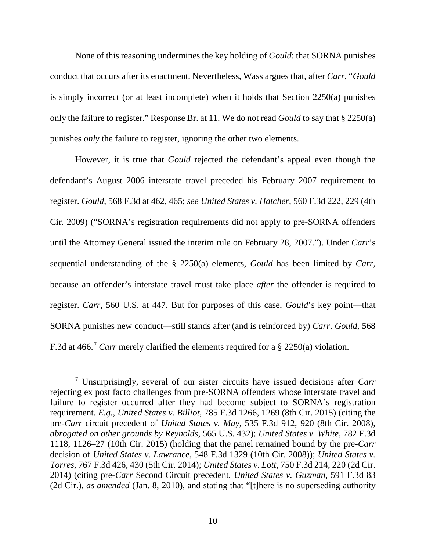None of this reasoning undermines the key holding of *Gould*: that SORNA punishes conduct that occurs after its enactment. Nevertheless, Wass argues that, after *Carr*, "*Gould*  is simply incorrect (or at least incomplete) when it holds that Section 2250(a) punishes only the failure to register." Response Br. at 11. We do not read *Gould* to say that § 2250(a) punishes *only* the failure to register, ignoring the other two elements.

However, it is true that *Gould* rejected the defendant's appeal even though the defendant's August 2006 interstate travel preceded his February 2007 requirement to register. *Gould*, 568 F.3d at 462, 465; *see United States v. Hatcher*, 560 F.3d 222, 229 (4th Cir. 2009) ("SORNA's registration requirements did not apply to pre-SORNA offenders until the Attorney General issued the interim rule on February 28, 2007."). Under *Carr*'s sequential understanding of the § 2250(a) elements, *Gould* has been limited by *Carr*, because an offender's interstate travel must take place *after* the offender is required to register. *Carr*, 560 U.S. at 447. But for purposes of this case, *Gould*'s key point—that SORNA punishes new conduct—still stands after (and is reinforced by) *Carr*. *Gould*, 568 F.3d at 466.<sup>[7](#page-9-0)</sup> *Carr* merely clarified the elements required for a § 2250(a) violation.

<span id="page-9-0"></span> <sup>7</sup> Unsurprisingly, several of our sister circuits have issued decisions after *Carr* rejecting ex post facto challenges from pre-SORNA offenders whose interstate travel and failure to register occurred after they had become subject to SORNA's registration requirement. *E.g.*, *United States v. Billiot*, 785 F.3d 1266, 1269 (8th Cir. 2015) (citing the pre-*Carr* circuit precedent of *United States v. May*, 535 F.3d 912, 920 (8th Cir. 2008), *abrogated on other grounds by Reynolds*, 565 U.S. 432); *United States v. White*, 782 F.3d 1118, 1126–27 (10th Cir. 2015) (holding that the panel remained bound by the pre-*Carr* decision of *United States v. Lawrance*, 548 F.3d 1329 (10th Cir. 2008)); *United States v. Torres*, 767 F.3d 426, 430 (5th Cir. 2014); *United States v. Lott*, 750 F.3d 214, 220 (2d Cir. 2014) (citing pre-*Carr* Second Circuit precedent, *United States v. Guzman*, 591 F.3d 83 (2d Cir.), *as amended* (Jan. 8, 2010), and stating that "[t]here is no superseding authority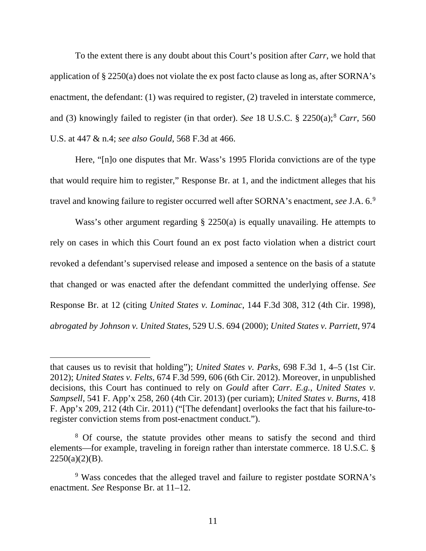To the extent there is any doubt about this Court's position after *Carr*, we hold that application of § 2250(a) does not violate the ex post facto clause as long as, after SORNA's enactment, the defendant: (1) was required to register, (2) traveled in interstate commerce, and (3) knowingly failed to register (in that order). *See* 1[8](#page-10-0) U.S.C. § 2250(a);<sup>8</sup> *Carr*, 560 U.S. at 447 & n.4; *see also Gould*, 568 F.3d at 466.

Here, "[n]o one disputes that Mr. Wass's 1995 Florida convictions are of the type that would require him to register," Response Br. at 1, and the indictment alleges that his travel and knowing failure to register occurred well after SORNA's enactment, *see* J.A. 6.[9](#page-10-1)

Wass's other argument regarding § 2250(a) is equally unavailing. He attempts to rely on cases in which this Court found an ex post facto violation when a district court revoked a defendant's supervised release and imposed a sentence on the basis of a statute that changed or was enacted after the defendant committed the underlying offense. *See* Response Br. at 12 (citing *United States v. Lominac*, 144 F.3d 308, 312 (4th Cir. 1998), *abrogated by Johnson v. United States*, 529 U.S. 694 (2000); *United States v. Parriett*, 974

 $\overline{a}$ 

that causes us to revisit that holding"); *United States v. Parks*, 698 F.3d 1, 4–5 (1st Cir. 2012); *United States v. Felts*, 674 F.3d 599, 606 (6th Cir. 2012). Moreover, in unpublished decisions, this Court has continued to rely on *Gould* after *Carr*. *E.g.*, *United States v. Sampsell*, 541 F. App'x 258, 260 (4th Cir. 2013) (per curiam); *United States v. Burns*, 418 F. App'x 209, 212 (4th Cir. 2011) ("[The defendant] overlooks the fact that his failure-toregister conviction stems from post-enactment conduct.").

<span id="page-10-0"></span><sup>&</sup>lt;sup>8</sup> Of course, the statute provides other means to satisfy the second and third elements—for example, traveling in foreign rather than interstate commerce. 18 U.S.C. §  $2250(a)(2)(B)$ .

<span id="page-10-1"></span><sup>9</sup> Wass concedes that the alleged travel and failure to register postdate SORNA's enactment. *See* Response Br. at 11–12.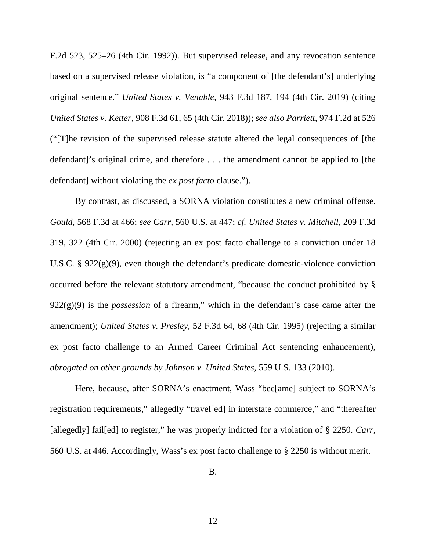F.2d 523, 525–26 (4th Cir. 1992)). But supervised release, and any revocation sentence based on a supervised release violation, is "a component of [the defendant's] underlying original sentence." *United States v. Venable*, 943 F.3d 187, 194 (4th Cir. 2019) (citing *United States v. Ketter*, 908 F.3d 61, 65 (4th Cir. 2018)); *see also Parriett*, 974 F.2d at 526 ("[T]he revision of the supervised release statute altered the legal consequences of [the defendant]'s original crime, and therefore . . . the amendment cannot be applied to [the defendant] without violating the *ex post facto* clause.").

By contrast, as discussed, a SORNA violation constitutes a new criminal offense. *Gould*, 568 F.3d at 466; *see Carr*, 560 U.S. at 447; *cf. United States v. Mitchell*, 209 F.3d 319, 322 (4th Cir. 2000) (rejecting an ex post facto challenge to a conviction under 18 U.S.C.  $\S$  922(g)(9), even though the defendant's predicate domestic-violence conviction occurred before the relevant statutory amendment, "because the conduct prohibited by § 922(g)(9) is the *possession* of a firearm," which in the defendant's case came after the amendment); *United States v. Presley*, 52 F.3d 64, 68 (4th Cir. 1995) (rejecting a similar ex post facto challenge to an Armed Career Criminal Act sentencing enhancement), *abrogated on other grounds by Johnson v. United States*, 559 U.S. 133 (2010).

Here, because, after SORNA's enactment, Wass "bec[ame] subject to SORNA's registration requirements," allegedly "travel[ed] in interstate commerce," and "thereafter [allegedly] fail[ed] to register," he was properly indicted for a violation of § 2250. *Carr*, 560 U.S. at 446. Accordingly, Wass's ex post facto challenge to § 2250 is without merit.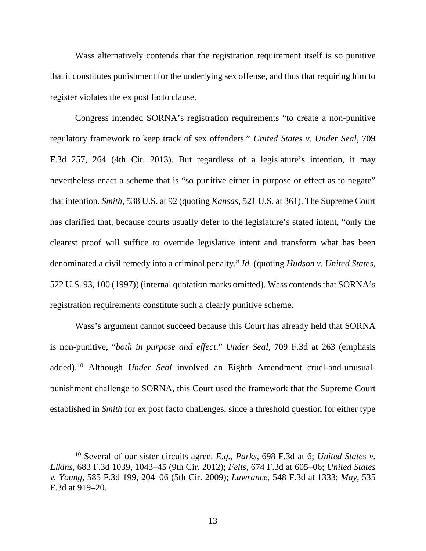Wass alternatively contends that the registration requirement itself is so punitive that it constitutes punishment for the underlying sex offense, and thus that requiring him to register violates the ex post facto clause.

Congress intended SORNA's registration requirements "to create a non-punitive regulatory framework to keep track of sex offenders." *United States v. Under Seal*, 709 F.3d 257, 264 (4th Cir. 2013). But regardless of a legislature's intention, it may nevertheless enact a scheme that is "so punitive either in purpose or effect as to negate" that intention. *Smith*, 538 U.S. at 92 (quoting *Kansas*, 521 U.S. at 361). The Supreme Court has clarified that, because courts usually defer to the legislature's stated intent, "only the clearest proof will suffice to override legislative intent and transform what has been denominated a civil remedy into a criminal penalty." *Id.* (quoting *Hudson v. United States*, 522 U.S. 93, 100 (1997)) (internal quotation marks omitted). Wass contends that SORNA's registration requirements constitute such a clearly punitive scheme.

Wass's argument cannot succeed because this Court has already held that SORNA is non-punitive, "*both in purpose and effect*." *Under Seal*, 709 F.3d at 263 (emphasis added). [10](#page-12-0) Although *Under Seal* involved an Eighth Amendment cruel-and-unusualpunishment challenge to SORNA, this Court used the framework that the Supreme Court established in *Smith* for ex post facto challenges, since a threshold question for either type

<span id="page-12-0"></span> <sup>10</sup> Several of our sister circuits agree. *E.g.*, *Parks*, 698 F.3d at 6; *United States v. Elkins*, 683 F.3d 1039, 1043–45 (9th Cir. 2012); *Felts*, 674 F.3d at 605–06; *United States v. Young*, 585 F.3d 199, 204–06 (5th Cir. 2009); *Lawrance*, 548 F.3d at 1333; *May*, 535 F.3d at 919–20.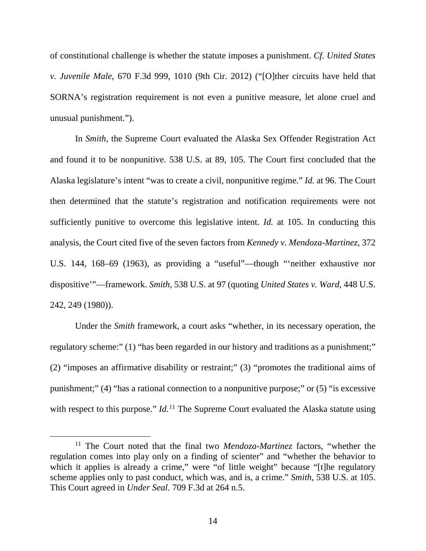of constitutional challenge is whether the statute imposes a punishment. *Cf. United States v. Juvenile Male*, 670 F.3d 999, 1010 (9th Cir. 2012) ("[O]ther circuits have held that SORNA's registration requirement is not even a punitive measure, let alone cruel and unusual punishment.").

In *Smith*, the Supreme Court evaluated the Alaska Sex Offender Registration Act and found it to be nonpunitive. 538 U.S. at 89, 105. The Court first concluded that the Alaska legislature's intent "was to create a civil, nonpunitive regime." *Id.* at 96. The Court then determined that the statute's registration and notification requirements were not sufficiently punitive to overcome this legislative intent. *Id.* at 105. In conducting this analysis, the Court cited five of the seven factors from *Kennedy v. Mendoza-Martinez*, 372 U.S. 144, 168–69 (1963), as providing a "useful"—though "'neither exhaustive nor dispositive'"—framework. *Smith*, 538 U.S. at 97 (quoting *United States v. Ward*, 448 U.S. 242, 249 (1980)).

Under the *Smith* framework, a court asks "whether, in its necessary operation, the regulatory scheme:" (1) "has been regarded in our history and traditions as a punishment;" (2) "imposes an affirmative disability or restraint;" (3) "promotes the traditional aims of punishment;" (4) "has a rational connection to a nonpunitive purpose;" or (5) "is excessive with respect to this purpose." *Id.*<sup>[11](#page-13-0)</sup> The Supreme Court evaluated the Alaska statute using

<span id="page-13-0"></span> <sup>11</sup> The Court noted that the final two *Mendoza-Martinez* factors, "whether the regulation comes into play only on a finding of scienter" and "whether the behavior to which it applies is already a crime," were "of little weight" because "[t]he regulatory scheme applies only to past conduct, which was, and is, a crime." *Smith*, 538 U.S. at 105. This Court agreed in *Under Seal*. 709 F.3d at 264 n.5.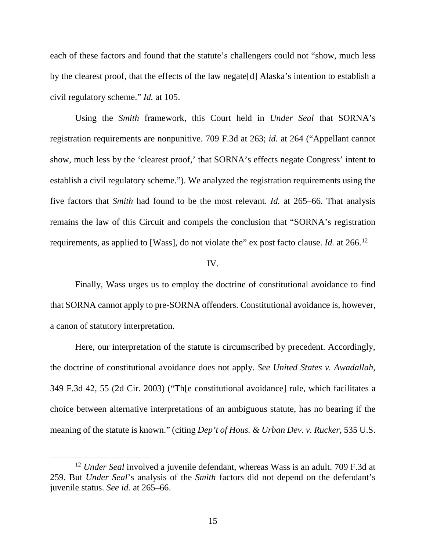each of these factors and found that the statute's challengers could not "show, much less by the clearest proof, that the effects of the law negate[d] Alaska's intention to establish a civil regulatory scheme." *Id.* at 105.

Using the *Smith* framework, this Court held in *Under Seal* that SORNA's registration requirements are nonpunitive. 709 F.3d at 263; *id.* at 264 ("Appellant cannot show, much less by the 'clearest proof,' that SORNA's effects negate Congress' intent to establish a civil regulatory scheme."). We analyzed the registration requirements using the five factors that *Smith* had found to be the most relevant. *Id.* at 265–66. That analysis remains the law of this Circuit and compels the conclusion that "SORNA's registration requirements, as applied to [Wass], do not violate the" ex post facto clause. *Id.* at 266.[12](#page-14-0)

### IV.

Finally, Wass urges us to employ the doctrine of constitutional avoidance to find that SORNA cannot apply to pre-SORNA offenders. Constitutional avoidance is, however, a canon of statutory interpretation.

Here, our interpretation of the statute is circumscribed by precedent. Accordingly, the doctrine of constitutional avoidance does not apply. *See United States v. Awadallah*, 349 F.3d 42, 55 (2d Cir. 2003) ("Th[e constitutional avoidance] rule, which facilitates a choice between alternative interpretations of an ambiguous statute, has no bearing if the meaning of the statute is known." (citing *Dep't of Hous. & Urban Dev. v. Rucker*, 535 U.S.

<span id="page-14-0"></span> <sup>12</sup> *Under Seal* involved a juvenile defendant, whereas Wass is an adult. 709 F.3d at 259. But *Under Seal*'s analysis of the *Smith* factors did not depend on the defendant's juvenile status. *See id.* at 265–66.